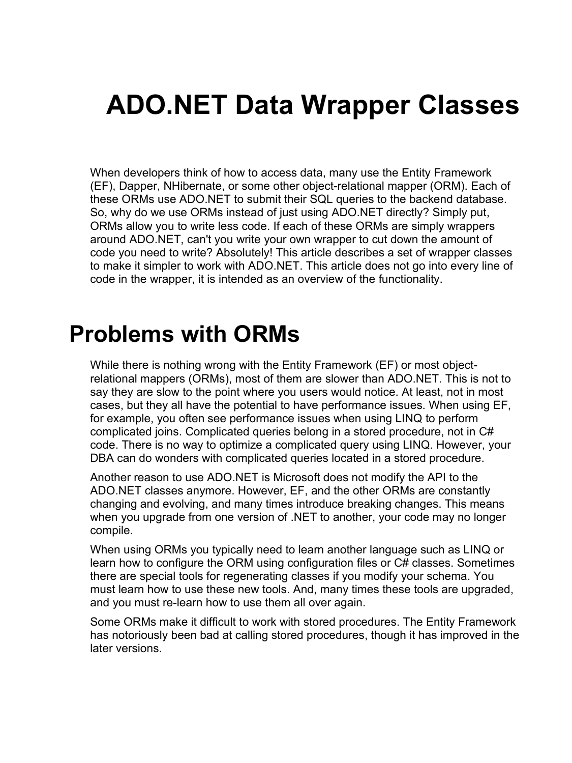# **ADO.NET Data Wrapper Classes**

When developers think of how to access data, many use the Entity Framework (EF), Dapper, NHibernate, or some other object-relational mapper (ORM). Each of these ORMs use ADO.NET to submit their SQL queries to the backend database. So, why do we use ORMs instead of just using ADO.NET directly? Simply put, ORMs allow you to write less code. If each of these ORMs are simply wrappers around ADO.NET, can't you write your own wrapper to cut down the amount of code you need to write? Absolutely! This article describes a set of wrapper classes to make it simpler to work with ADO.NET. This article does not go into every line of code in the wrapper, it is intended as an overview of the functionality.

### **Problems with ORMs**

While there is nothing wrong with the Entity Framework (EF) or most objectrelational mappers (ORMs), most of them are slower than ADO.NET. This is not to say they are slow to the point where you users would notice. At least, not in most cases, but they all have the potential to have performance issues. When using EF, for example, you often see performance issues when using LINQ to perform complicated joins. Complicated queries belong in a stored procedure, not in C# code. There is no way to optimize a complicated query using LINQ. However, your DBA can do wonders with complicated queries located in a stored procedure.

Another reason to use ADO.NET is Microsoft does not modify the API to the ADO.NET classes anymore. However, EF, and the other ORMs are constantly changing and evolving, and many times introduce breaking changes. This means when you upgrade from one version of .NET to another, your code may no longer compile.

When using ORMs you typically need to learn another language such as LINQ or learn how to configure the ORM using configuration files or C# classes. Sometimes there are special tools for regenerating classes if you modify your schema. You must learn how to use these new tools. And, many times these tools are upgraded, and you must re-learn how to use them all over again.

Some ORMs make it difficult to work with stored procedures. The Entity Framework has notoriously been bad at calling stored procedures, though it has improved in the later versions.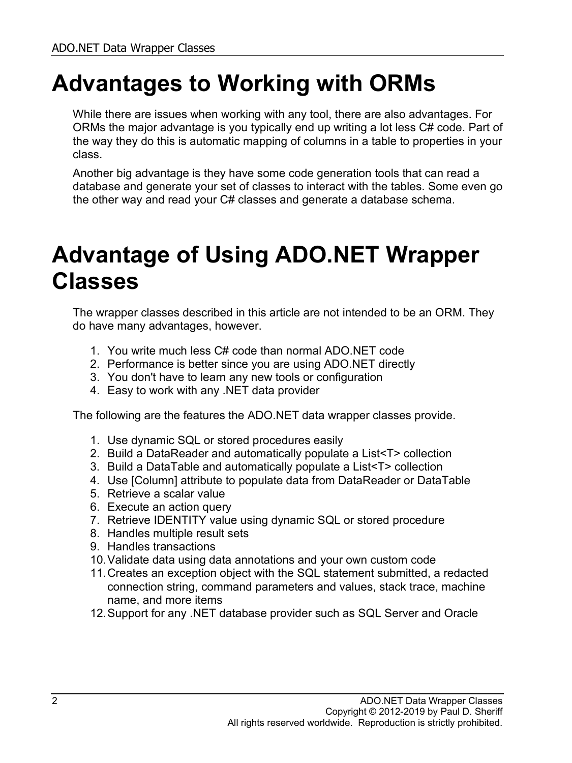## **Advantages to Working with ORMs**

While there are issues when working with any tool, there are also advantages. For ORMs the major advantage is you typically end up writing a lot less C# code. Part of the way they do this is automatic mapping of columns in a table to properties in your class.

Another big advantage is they have some code generation tools that can read a database and generate your set of classes to interact with the tables. Some even go the other way and read your C# classes and generate a database schema.

## **Advantage of Using ADO.NET Wrapper Classes**

The wrapper classes described in this article are not intended to be an ORM. They do have many advantages, however.

- 1. You write much less C# code than normal ADO.NET code
- 2. Performance is better since you are using ADO.NET directly
- 3. You don't have to learn any new tools or configuration
- 4. Easy to work with any .NET data provider

The following are the features the ADO.NET data wrapper classes provide.

- 1. Use dynamic SQL or stored procedures easily
- 2. Build a DataReader and automatically populate a List<T> collection
- 3. Build a DataTable and automatically populate a List<T> collection
- 4. Use [Column] attribute to populate data from DataReader or DataTable
- 5. Retrieve a scalar value
- 6. Execute an action query
- 7. Retrieve IDENTITY value using dynamic SQL or stored procedure
- 8. Handles multiple result sets
- 9. Handles transactions
- 10.Validate data using data annotations and your own custom code
- 11.Creates an exception object with the SQL statement submitted, a redacted connection string, command parameters and values, stack trace, machine name, and more items
- 12.Support for any .NET database provider such as SQL Server and Oracle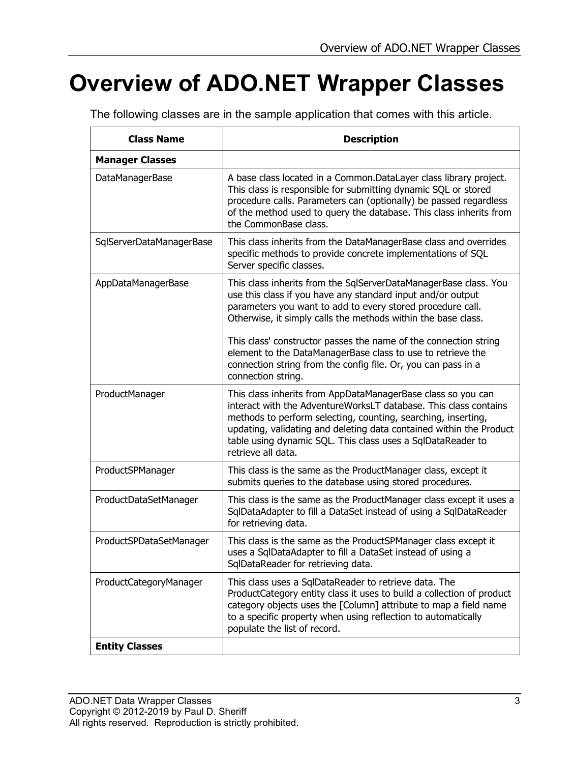# **Overview of ADO.NET Wrapper Classes**

The following classes are in the sample application that comes with this article.

| <b>Class Name</b>        | <b>Description</b>                                                                                                                                                                                                                                                                                                                                            |
|--------------------------|---------------------------------------------------------------------------------------------------------------------------------------------------------------------------------------------------------------------------------------------------------------------------------------------------------------------------------------------------------------|
| <b>Manager Classes</b>   |                                                                                                                                                                                                                                                                                                                                                               |
| <b>DataManagerBase</b>   | A base class located in a Common.DataLayer class library project.<br>This class is responsible for submitting dynamic SQL or stored<br>procedure calls. Parameters can (optionally) be passed regardless<br>of the method used to query the database. This class inherits from<br>the CommonBase class.                                                       |
| SqlServerDataManagerBase | This class inherits from the DataManagerBase class and overrides<br>specific methods to provide concrete implementations of SQL<br>Server specific classes.                                                                                                                                                                                                   |
| AppDataManagerBase       | This class inherits from the SqlServerDataManagerBase class. You<br>use this class if you have any standard input and/or output<br>parameters you want to add to every stored procedure call.<br>Otherwise, it simply calls the methods within the base class.                                                                                                |
|                          | This class' constructor passes the name of the connection string<br>element to the DataManagerBase class to use to retrieve the<br>connection string from the config file. Or, you can pass in a<br>connection string.                                                                                                                                        |
| ProductManager           | This class inherits from AppDataManagerBase class so you can<br>interact with the AdventureWorksLT database. This class contains<br>methods to perform selecting, counting, searching, inserting,<br>updating, validating and deleting data contained within the Product<br>table using dynamic SQL. This class uses a SqlDataReader to<br>retrieve all data. |
| ProductSPManager         | This class is the same as the ProductManager class, except it<br>submits queries to the database using stored procedures.                                                                                                                                                                                                                                     |
| ProductDataSetManager    | This class is the same as the ProductManager class except it uses a<br>SqlDataAdapter to fill a DataSet instead of using a SqlDataReader<br>for retrieving data.                                                                                                                                                                                              |
| ProductSPDataSetManager  | This class is the same as the ProductSPManager class except it<br>uses a SqlDataAdapter to fill a DataSet instead of using a<br>SqlDataReader for retrieving data.                                                                                                                                                                                            |
| ProductCategoryManager   | This class uses a SqlDataReader to retrieve data. The<br>ProductCategory entity class it uses to build a collection of product<br>category objects uses the [Column] attribute to map a field name<br>to a specific property when using reflection to automatically<br>populate the list of record.                                                           |
| <b>Entity Classes</b>    |                                                                                                                                                                                                                                                                                                                                                               |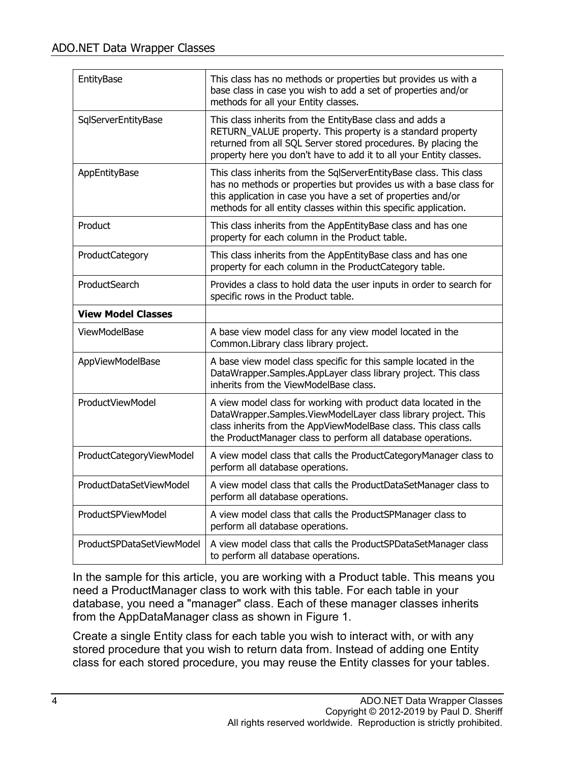| EntityBase                | This class has no methods or properties but provides us with a<br>base class in case you wish to add a set of properties and/or<br>methods for all your Entity classes.                                                                                                      |
|---------------------------|------------------------------------------------------------------------------------------------------------------------------------------------------------------------------------------------------------------------------------------------------------------------------|
| SqlServerEntityBase       | This class inherits from the EntityBase class and adds a<br>RETURN_VALUE property. This property is a standard property<br>returned from all SQL Server stored procedures. By placing the<br>property here you don't have to add it to all your Entity classes.              |
| AppEntityBase             | This class inherits from the SqlServerEntityBase class. This class<br>has no methods or properties but provides us with a base class for<br>this application in case you have a set of properties and/or<br>methods for all entity classes within this specific application. |
| Product                   | This class inherits from the AppEntityBase class and has one<br>property for each column in the Product table.                                                                                                                                                               |
| ProductCategory           | This class inherits from the AppEntityBase class and has one<br>property for each column in the ProductCategory table.                                                                                                                                                       |
| ProductSearch             | Provides a class to hold data the user inputs in order to search for<br>specific rows in the Product table.                                                                                                                                                                  |
| <b>View Model Classes</b> |                                                                                                                                                                                                                                                                              |
| ViewModelBase             | A base view model class for any view model located in the<br>Common.Library class library project.                                                                                                                                                                           |
| AppViewModelBase          | A base view model class specific for this sample located in the<br>DataWrapper.Samples.AppLayer class library project. This class<br>inherits from the ViewModelBase class.                                                                                                  |
| ProductViewModel          | A view model class for working with product data located in the<br>DataWrapper.Samples.ViewModelLayer class library project. This<br>class inherits from the AppViewModelBase class. This class calls<br>the ProductManager class to perform all database operations.        |
| ProductCategoryViewModel  | A view model class that calls the ProductCategoryManager class to<br>perform all database operations.                                                                                                                                                                        |
| ProductDataSetViewModel   | A view model class that calls the ProductDataSetManager class to<br>perform all database operations.                                                                                                                                                                         |
| ProductSPViewModel        | A view model class that calls the ProductSPManager class to<br>perform all database operations.                                                                                                                                                                              |
| ProductSPDataSetViewModel | A view model class that calls the ProductSPDataSetManager class<br>to perform all database operations.                                                                                                                                                                       |

In the sample for this article, you are working with a Product table. This means you need a ProductManager class to work with this table. For each table in your database, you need a "manager" class. Each of these manager classes inherits from the AppDataManager class as shown in Figure 1.

Create a single Entity class for each table you wish to interact with, or with any stored procedure that you wish to return data from. Instead of adding one Entity class for each stored procedure, you may reuse the Entity classes for your tables.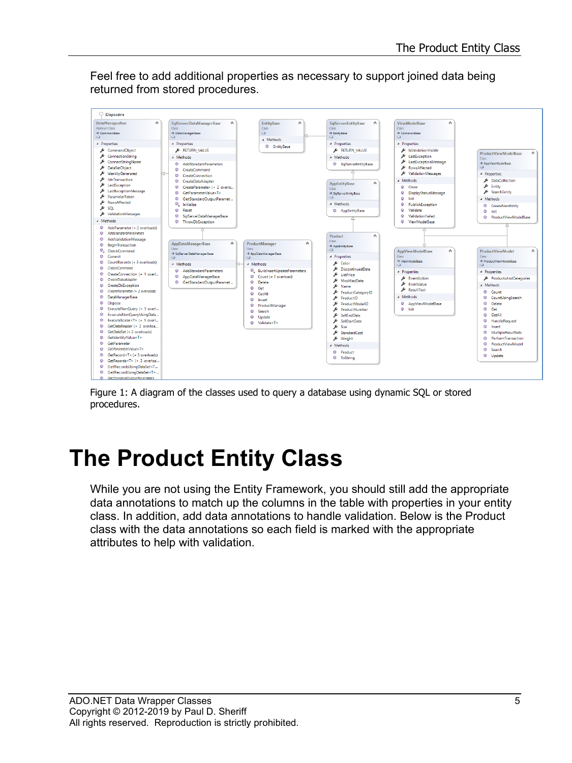Feel free to add additional properties as necessary to support joined data being returned from stored procedures.



Figure 1: A diagram of the classes used to query a database using dynamic SQL or stored procedures.

## **The Product Entity Class**

While you are not using the Entity Framework, you should still add the appropriate data annotations to match up the columns in the table with properties in your entity class. In addition, add data annotations to handle validation. Below is the Product class with the data annotations so each field is marked with the appropriate attributes to help with validation.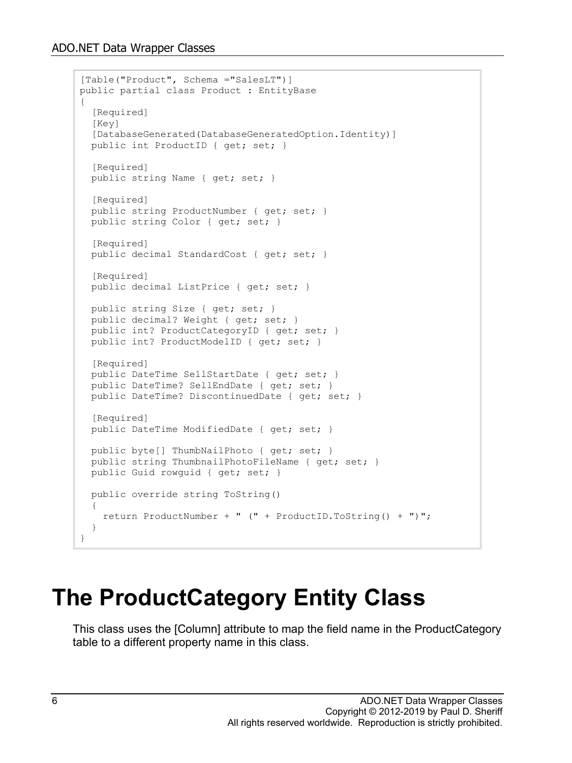```
[Table("Product", Schema ="SalesLT")]
public partial class Product : EntityBase
{
   [Required]
   [Key]
   [DatabaseGenerated(DatabaseGeneratedOption.Identity)]
  public int ProductID { get; set; }
   [Required]
   public string Name { get; set; }
   [Required]
   public string ProductNumber { get; set; }
  public string Color { get; set; }
   [Required]
  public decimal StandardCost { get; set; }
   [Required]
   public decimal ListPrice { get; set; }
   public string Size { get; set; }
  public decimal? Weight { get; set; }
  public int? ProductCategoryID { get; set; }
   public int? ProductModelID { get; set; }
  [Required]
 public DateTime SellStartDate { get; set; }
  public DateTime? SellEndDate { get; set; }
  public DateTime? DiscontinuedDate { get; set; }
   [Required]
   public DateTime ModifiedDate { get; set; }
 public byte[] ThumbNailPhoto { get; set; }
 public string ThumbnailPhotoFileName { get; set; }
  public Guid rowguid { get; set; }
  public override string ToString()
\{ return ProductNumber + " (" + ProductID.ToString() + ")";
   }
}
```
### **The ProductCategory Entity Class**

This class uses the [Column] attribute to map the field name in the ProductCategory table to a different property name in this class.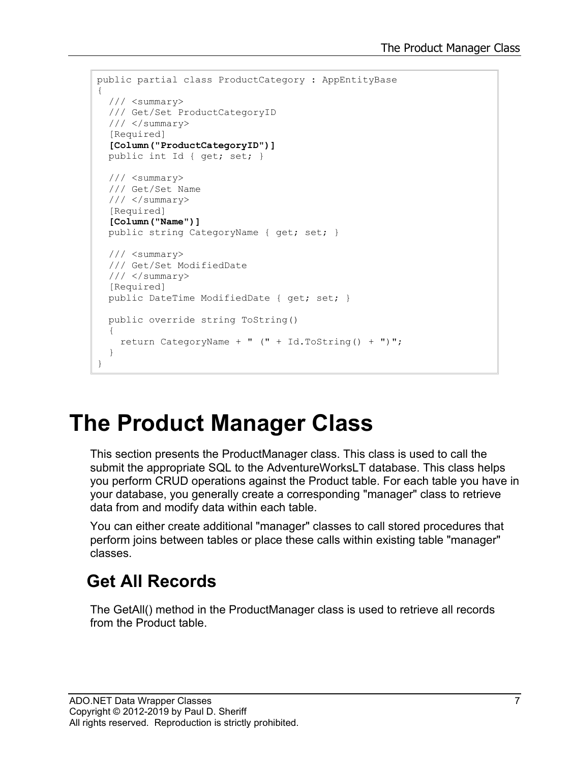```
public partial class ProductCategory : AppEntityBase
{
 /// <summary>
   /// Get/Set ProductCategoryID
   /// </summary>
  [Required]
   [Column("ProductCategoryID")]
  public int Id { get; set; }
   /// <summary>
   /// Get/Set Name
   /// </summary>
  [Required]
   [Column("Name")]
   public string CategoryName { get; set; }
  /// <summary>
   /// Get/Set ModifiedDate
   /// </summary>
  [Required]
 public DateTime ModifiedDate { get; set; }
  public override string ToString()
  {
     return CategoryName + " (" + Id.ToString() + ")";
   }
}
```
## **The Product Manager Class**

This section presents the ProductManager class. This class is used to call the submit the appropriate SQL to the AdventureWorksLT database. This class helps you perform CRUD operations against the Product table. For each table you have in your database, you generally create a corresponding "manager" class to retrieve data from and modify data within each table.

You can either create additional "manager" classes to call stored procedures that perform joins between tables or place these calls within existing table "manager" classes.

#### **Get All Records**

The GetAll() method in the ProductManager class is used to retrieve all records from the Product table.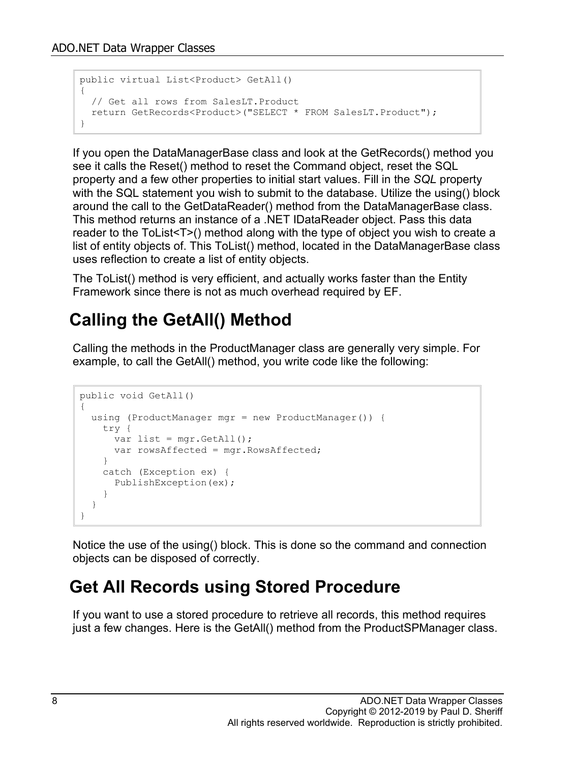```
public virtual List<Product> GetAll()
{
  // Get all rows from SalesLT.Product
 return GetRecords<Product>("SELECT * FROM SalesLT.Product");
}
```
If you open the DataManagerBase class and look at the GetRecords() method you see it calls the Reset() method to reset the Command object, reset the SQL property and a few other properties to initial start values. Fill in the *SQL* property with the SQL statement you wish to submit to the database. Utilize the using() block around the call to the GetDataReader() method from the DataManagerBase class. This method returns an instance of a .NET IDataReader object. Pass this data reader to the ToList<T>() method along with the type of object you wish to create a list of entity objects of. This ToList() method, located in the DataManagerBase class uses reflection to create a list of entity objects.

The ToList() method is very efficient, and actually works faster than the Entity Framework since there is not as much overhead required by EF.

#### **Calling the GetAll() Method**

Calling the methods in the ProductManager class are generally very simple. For example, to call the GetAll() method, you write code like the following:

```
public void GetAll()
{
   using (ProductManager mgr = new ProductManager()) {
    try {
     var list = mgr.GetAll();
      var rowsAffected = mgr.RowsAffected;
     }
     catch (Exception ex) {
       PublishException(ex);
     }
   }
}
```
Notice the use of the using() block. This is done so the command and connection objects can be disposed of correctly.

#### **Get All Records using Stored Procedure**

If you want to use a stored procedure to retrieve all records, this method requires just a few changes. Here is the GetAll() method from the ProductSPManager class.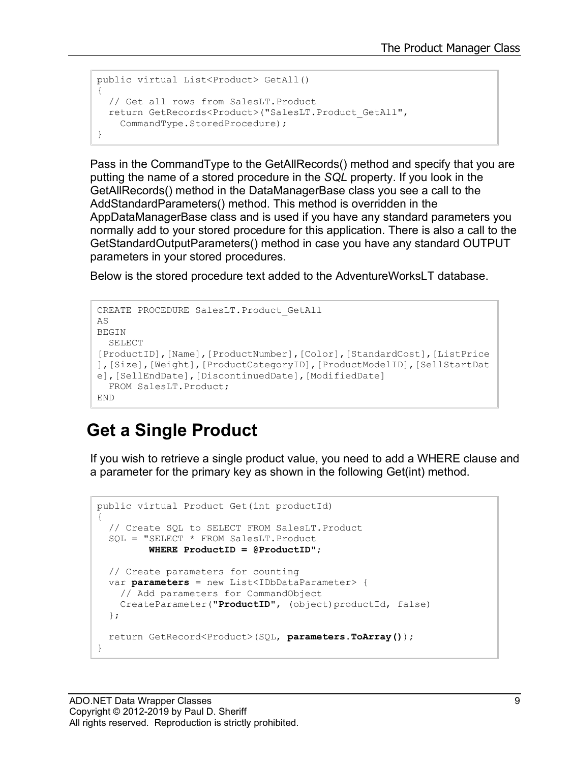```
public virtual List<Product> GetAll()
{
   // Get all rows from SalesLT.Product
  return GetRecords<Product>("SalesLT.Product_GetAll",
    CommandType.StoredProcedure);
}
```
Pass in the CommandType to the GetAllRecords() method and specify that you are putting the name of a stored procedure in the *SQL* property. If you look in the GetAllRecords() method in the DataManagerBase class you see a call to the AddStandardParameters() method. This method is overridden in the AppDataManagerBase class and is used if you have any standard parameters you normally add to your stored procedure for this application. There is also a call to the GetStandardOutputParameters() method in case you have any standard OUTPUT parameters in your stored procedures.

Below is the stored procedure text added to the AdventureWorksLT database.

```
CREATE PROCEDURE SalesLT. Product GetAll
AS
BEGIN
  SELECT 
[ProductID],[Name],[ProductNumber],[Color],[StandardCost],[ListPrice
],[Size],[Weight],[ProductCategoryID],[ProductModelID],[SellStartDat
e],[SellEndDate],[DiscontinuedDate],[ModifiedDate] 
  FROM SalesLT.Product;
END
```
#### **Get a Single Product**

If you wish to retrieve a single product value, you need to add a WHERE clause and a parameter for the primary key as shown in the following Get(int) method.

```
public virtual Product Get(int productId)
{
   // Create SQL to SELECT FROM SalesLT.Product
   SQL = "SELECT * FROM SalesLT.Product
          WHERE ProductID = @ProductID";
  // Create parameters for counting
   var parameters = new List<IDbDataParameter> {
     // Add parameters for CommandObject
    CreateParameter("ProductID", (object)productId, false)
   };
   return GetRecord<Product>(SQL, parameters.ToArray());
}
```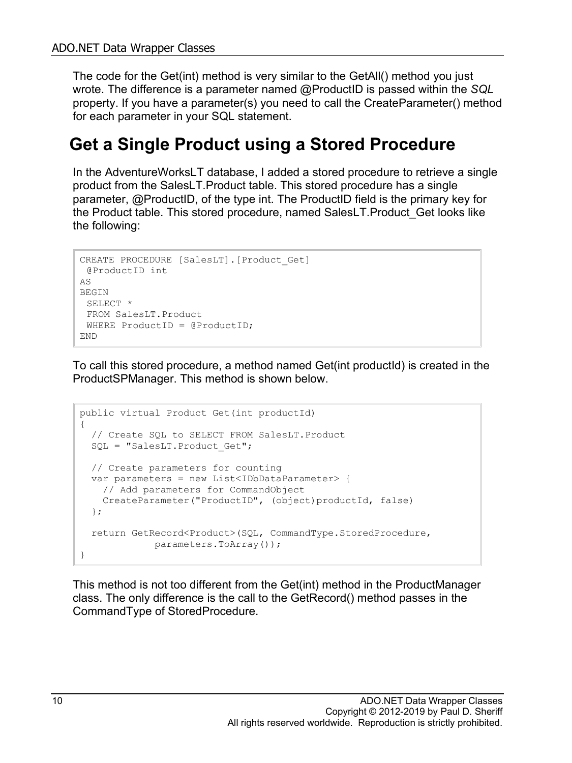The code for the Get(int) method is very similar to the GetAll() method you just wrote. The difference is a parameter named @ProductID is passed within the *SQL* property. If you have a parameter(s) you need to call the CreateParameter() method for each parameter in your SQL statement.

#### **Get a Single Product using a Stored Procedure**

In the AdventureWorksLT database, I added a stored procedure to retrieve a single product from the SalesLT.Product table. This stored procedure has a single parameter, @ProductID, of the type int. The ProductID field is the primary key for the Product table. This stored procedure, named SalesLT.Product\_Get looks like the following:

```
CREATE PROCEDURE [SalesLT].[Product_Get]
@ProductID int
AS
BEGIN
 SELECT *
 FROM SalesLT.Product
 WHERE ProductID = @ProductID;
END
```
To call this stored procedure, a method named Get(int productId) is created in the ProductSPManager. This method is shown below.

```
public virtual Product Get(int productId)
{
   // Create SQL to SELECT FROM SalesLT.Product
  SQL = "SalesLT. Product Get";
   // Create parameters for counting
  var parameters = new List<IDbDataParameter> {
    // Add parameters for CommandObject
    CreateParameter("ProductID", (object)productId, false)
   };
  return GetRecord<Product>(SQL, CommandType.StoredProcedure,
              parameters.ToArray());
}
```
This method is not too different from the Get(int) method in the ProductManager class. The only difference is the call to the GetRecord() method passes in the CommandType of StoredProcedure.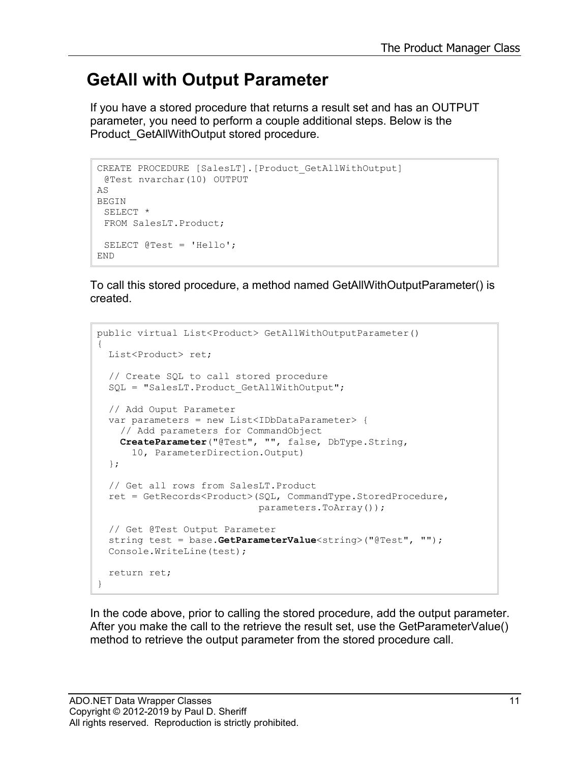#### **GetAll with Output Parameter**

If you have a stored procedure that returns a result set and has an OUTPUT parameter, you need to perform a couple additional steps. Below is the Product GetAllWithOutput stored procedure.

```
CREATE PROCEDURE [SalesLT].[Product_GetAllWithOutput]
 @Test nvarchar(10) OUTPUT
AS
BEGIN
 SELECT *
 FROM SalesLT.Product;
 SELECT @Test = 'Hello';
END
```
To call this stored procedure, a method named GetAllWithOutputParameter() is created.

```
public virtual List<Product> GetAllWithOutputParameter()
{
  List<Product> ret;
   // Create SQL to call stored procedure
  SQL = "SalesLT. Product GetAllWithOutput";
   // Add Ouput Parameter
  var parameters = new List<IDbDataParameter> {
     // Add parameters for CommandObject
     CreateParameter("@Test", "", false, DbType.String, 
       10, ParameterDirection.Output)
   };
   // Get all rows from SalesLT.Product
   ret = GetRecords<Product>(SQL, CommandType.StoredProcedure,
                              parameters.ToArray());
   // Get @Test Output Parameter
   string test = base.GetParameterValue<string>("@Test", "");
  Console.WriteLine(test);
  return ret;
}
```
In the code above, prior to calling the stored procedure, add the output parameter. After you make the call to the retrieve the result set, use the GetParameterValue() method to retrieve the output parameter from the stored procedure call.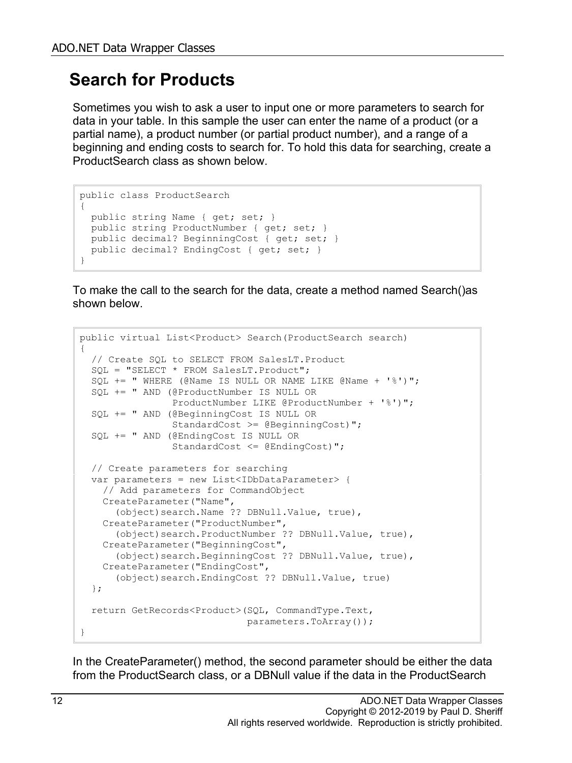#### **Search for Products**

Sometimes you wish to ask a user to input one or more parameters to search for data in your table. In this sample the user can enter the name of a product (or a partial name), a product number (or partial product number), and a range of a beginning and ending costs to search for. To hold this data for searching, create a ProductSearch class as shown below.

```
public class ProductSearch
{
  public string Name { get; set; }
  public string ProductNumber { get; set; }
 public decimal? BeginningCost { get; set; }
  public decimal? EndingCost { get; set; }
}
```
To make the call to the search for the data, create a method named Search()as shown below.

```
public virtual List<Product> Search(ProductSearch search)
{
   // Create SQL to SELECT FROM SalesLT.Product
   SQL = "SELECT * FROM SalesLT.Product";
  SQL += " WHERE (@Name IS NULL OR NAME LINE @Name + '%')"; SQL += " AND (@ProductNumber IS NULL OR 
                 ProductNumber LIKE @ProductNumber + '%')";
   SQL += " AND (@BeginningCost IS NULL OR 
                StandardCost >= @BeginningCost)";
  SQL += " AND (@EndingCost IS NULL OR 
                StandardCost <= @EndingCost)";
   // Create parameters for searching
   var parameters = new List<IDbDataParameter> {
     // Add parameters for CommandObject
    CreateParameter("Name", 
       (object)search.Name ?? DBNull.Value, true),
     CreateParameter("ProductNumber", 
       (object)search.ProductNumber ?? DBNull.Value, true),
     CreateParameter("BeginningCost", 
       (object)search.BeginningCost ?? DBNull.Value, true),
     CreateParameter("EndingCost", 
       (object)search.EndingCost ?? DBNull.Value, true)
   };
   return GetRecords<Product>(SQL, CommandType.Text,
                               parameters.ToArray());
}
```
In the CreateParameter() method, the second parameter should be either the data from the ProductSearch class, or a DBNull value if the data in the ProductSearch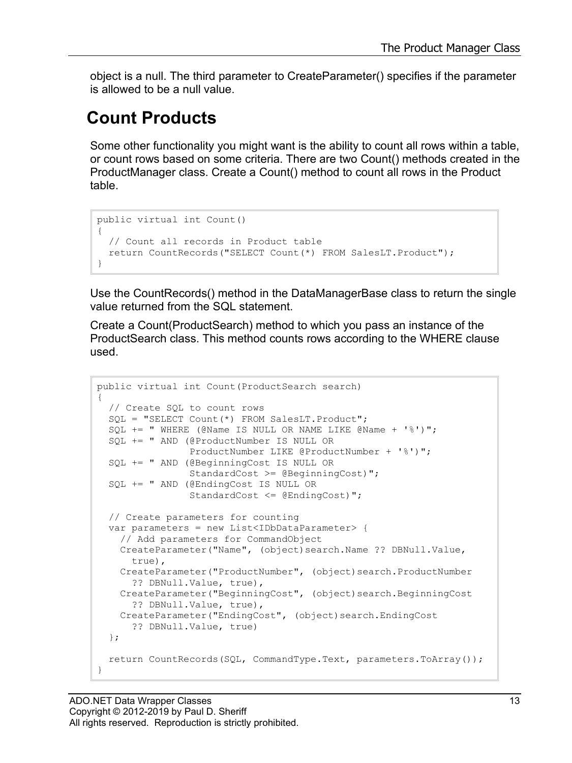object is a null. The third parameter to CreateParameter() specifies if the parameter is allowed to be a null value.

#### **Count Products**

Some other functionality you might want is the ability to count all rows within a table, or count rows based on some criteria. There are two Count() methods created in the ProductManager class. Create a Count() method to count all rows in the Product table.

```
public virtual int Count()
{
   // Count all records in Product table
  return CountRecords("SELECT Count(*) FROM SalesLT.Product");
}
```
Use the CountRecords() method in the DataManagerBase class to return the single value returned from the SQL statement.

Create a Count(ProductSearch) method to which you pass an instance of the ProductSearch class. This method counts rows according to the WHERE clause used.

```
public virtual int Count(ProductSearch search)
{
  // Create SQL to count rows
  SQL = "SELECT Count(*) FROM SalesLT.Product";
  SQL += " WHERE (@Name IS NULL OR NAME LIKE @Name + '%')";
   SQL += " AND (@ProductNumber IS NULL OR 
                 ProductNumber LIKE @ProductNumber + '%')";
   SQL += " AND (@BeginningCost IS NULL OR 
                 StandardCost >= @BeginningCost)";
   SQL += " AND (@EndingCost IS NULL OR 
                 StandardCost <= @EndingCost)";
   // Create parameters for counting
   var parameters = new List<IDbDataParameter> {
     // Add parameters for CommandObject
     CreateParameter("Name", (object)search.Name ?? DBNull.Value,
       true),
     CreateParameter("ProductNumber", (object)search.ProductNumber
       ?? DBNull.Value, true),
    CreateParameter("BeginningCost", (object)search.BeginningCost
       ?? DBNull.Value, true),
    CreateParameter("EndingCost", (object)search.EndingCost
       ?? DBNull.Value, true)
   };
  return CountRecords(SQL, CommandType.Text, parameters.ToArray());
}
```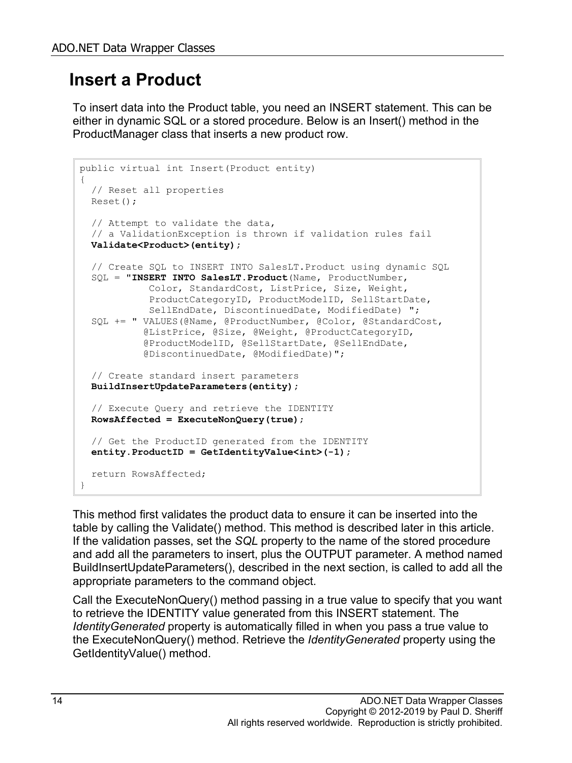#### **Insert a Product**

To insert data into the Product table, you need an INSERT statement. This can be either in dynamic SQL or a stored procedure. Below is an Insert() method in the ProductManager class that inserts a new product row.

```
public virtual int Insert(Product entity)
{
   // Reset all properties
   Reset();
   // Attempt to validate the data,
   // a ValidationException is thrown if validation rules fail
   Validate<Product>(entity);
   // Create SQL to INSERT INTO SalesLT.Product using dynamic SQL
   SQL = "INSERT INTO SalesLT.Product(Name, ProductNumber,
             Color, StandardCost, ListPrice, Size, Weight,
             ProductCategoryID, ProductModelID, SellStartDate,
             SellEndDate, DiscontinuedDate, ModifiedDate) ";
   SQL += " VALUES(@Name, @ProductNumber, @Color, @StandardCost,
            @ListPrice, @Size, @Weight, @ProductCategoryID,
            @ProductModelID, @SellStartDate, @SellEndDate,
            @DiscontinuedDate, @ModifiedDate)";
   // Create standard insert parameters
   BuildInsertUpdateParameters(entity);
   // Execute Query and retrieve the IDENTITY
   RowsAffected = ExecuteNonQuery(true);
   // Get the ProductID generated from the IDENTITY 
   entity.ProductID = GetIdentityValue<int>(-1);
   return RowsAffected;
}
```
This method first validates the product data to ensure it can be inserted into the table by calling the Validate() method. This method is described later in this article. If the validation passes, set the *SQL* property to the name of the stored procedure and add all the parameters to insert, plus the OUTPUT parameter. A method named BuildInsertUpdateParameters(), described in the next section, is called to add all the appropriate parameters to the command object.

Call the ExecuteNonQuery() method passing in a true value to specify that you want to retrieve the IDENTITY value generated from this INSERT statement. The *IdentityGenerated* property is automatically filled in when you pass a true value to the ExecuteNonQuery() method. Retrieve the *IdentityGenerated* property using the GetIdentityValue() method.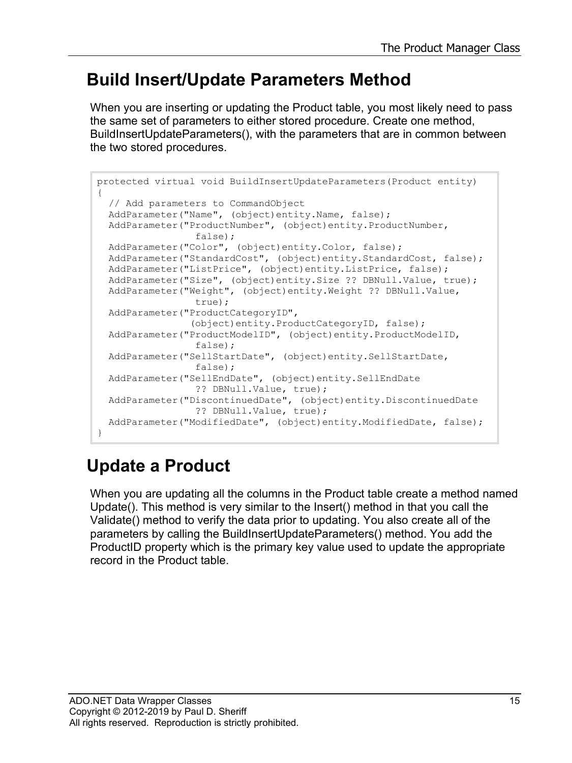#### **Build Insert/Update Parameters Method**

When you are inserting or updating the Product table, you most likely need to pass the same set of parameters to either stored procedure. Create one method, BuildInsertUpdateParameters(), with the parameters that are in common between the two stored procedures.

```
protected virtual void BuildInsertUpdateParameters(Product entity)
{
  // Add parameters to CommandObject
  AddParameter("Name", (object)entity.Name, false);
  AddParameter("ProductNumber", (object)entity.ProductNumber,
                  false);
  AddParameter("Color", (object)entity.Color, false);
  AddParameter("StandardCost", (object)entity.StandardCost, false);
  AddParameter("ListPrice", (object)entity.ListPrice, false);
  AddParameter("Size", (object)entity.Size ?? DBNull.Value, true);
  AddParameter("Weight", (object)entity.Weight ?? DBNull.Value,
                  true);
  AddParameter("ProductCategoryID",
                 (object)entity.ProductCategoryID, false);
 AddParameter("ProductModelID", (object)entity.ProductModelID,
                 false);
  AddParameter("SellStartDate", (object)entity.SellStartDate,
                 false);
  AddParameter("SellEndDate", (object)entity.SellEndDate
                 ?? DBNull.Value, true);
  AddParameter("DiscontinuedDate", (object)entity.DiscontinuedDate
                 ?? DBNull.Value, true);
  AddParameter("ModifiedDate", (object)entity.ModifiedDate, false);
}
```
### **Update a Product**

When you are updating all the columns in the Product table create a method named Update(). This method is very similar to the Insert() method in that you call the Validate() method to verify the data prior to updating. You also create all of the parameters by calling the BuildInsertUpdateParameters() method. You add the ProductID property which is the primary key value used to update the appropriate record in the Product table.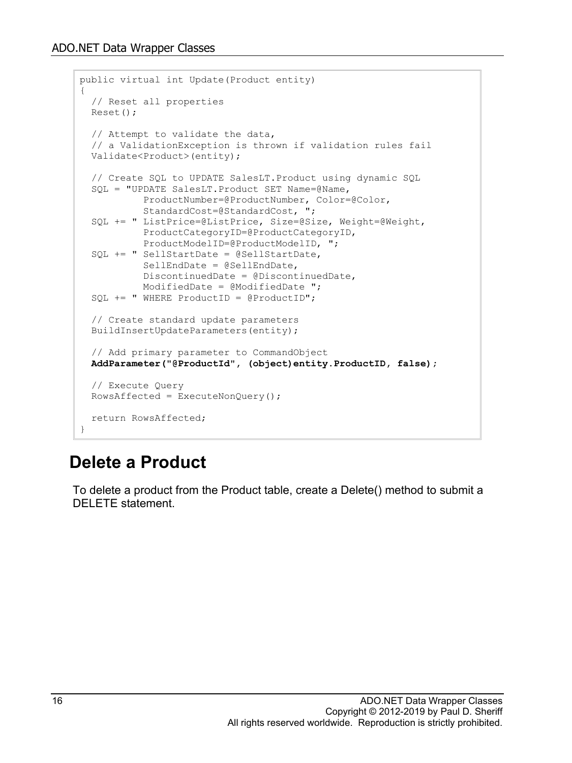```
public virtual int Update(Product entity)
{
   // Reset all properties
  Reset();
   // Attempt to validate the data,
   // a ValidationException is thrown if validation rules fail
  Validate<Product>(entity);
   // Create SQL to UPDATE SalesLT.Product using dynamic SQL
   SQL = "UPDATE SalesLT.Product SET Name=@Name,
            ProductNumber=@ProductNumber, Color=@Color,
            StandardCost=@StandardCost, ";
   SQL += " ListPrice=@ListPrice, Size=@Size, Weight=@Weight,
            ProductCategoryID=@ProductCategoryID,
            ProductModelID=@ProductModelID, ";
   SQL += " SellStartDate = @SellStartDate, 
            SellEndDate = @SellEndDate, 
            DiscontinuedDate = @DiscontinuedDate, 
            ModifiedDate = @ModifiedDate ";
  SOL += "WHERE ProductID = @ProductID"; // Create standard update parameters
   BuildInsertUpdateParameters(entity);
   // Add primary parameter to CommandObject
  AddParameter("@ProductId", (object)entity.ProductID, false);
   // Execute Query
 RowsAffected = ExecuteNonQuery();
  return RowsAffected;
}
```
#### **Delete a Product**

To delete a product from the Product table, create a Delete() method to submit a DELETE statement.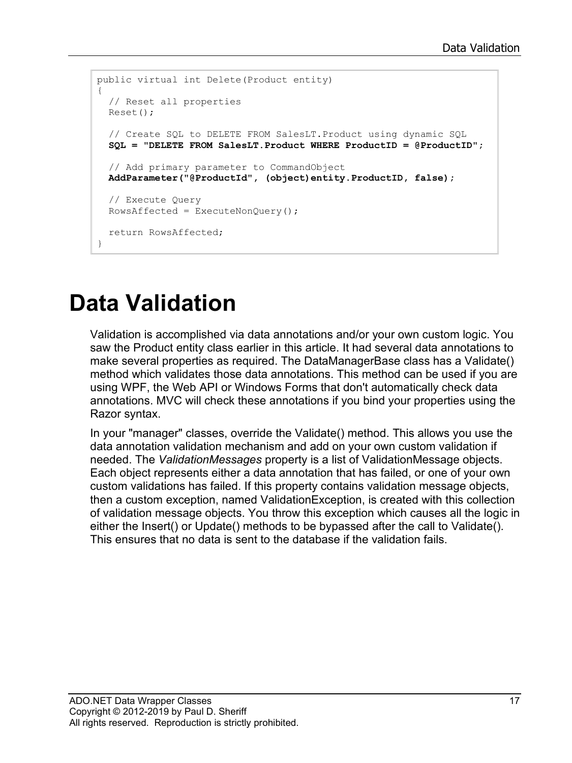```
public virtual int Delete(Product entity)
{
  // Reset all properties
  Reset();
  // Create SQL to DELETE FROM SalesLT.Product using dynamic SQL
   SQL = "DELETE FROM SalesLT.Product WHERE ProductID = @ProductID";
   // Add primary parameter to CommandObject
  AddParameter("@ProductId", (object)entity.ProductID, false);
  // Execute Query
 RowsAffected = ExecuteNonQuery();
  return RowsAffected;
}
```
# **Data Validation**

Validation is accomplished via data annotations and/or your own custom logic. You saw the Product entity class earlier in this article. It had several data annotations to make several properties as required. The DataManagerBase class has a Validate() method which validates those data annotations. This method can be used if you are using WPF, the Web API or Windows Forms that don't automatically check data annotations. MVC will check these annotations if you bind your properties using the Razor syntax.

In your "manager" classes, override the Validate() method. This allows you use the data annotation validation mechanism and add on your own custom validation if needed. The *ValidationMessages* property is a list of ValidationMessage objects. Each object represents either a data annotation that has failed, or one of your own custom validations has failed. If this property contains validation message objects, then a custom exception, named ValidationException, is created with this collection of validation message objects. You throw this exception which causes all the logic in either the Insert() or Update() methods to be bypassed after the call to Validate(). This ensures that no data is sent to the database if the validation fails.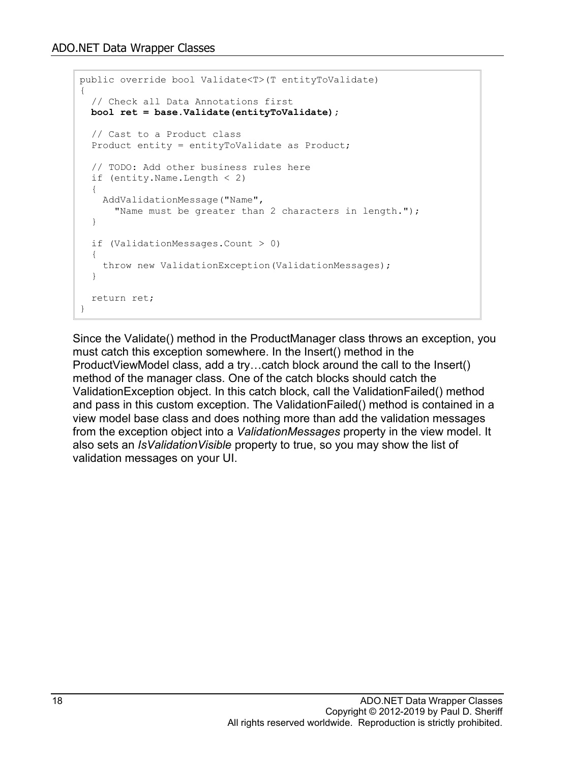```
public override bool Validate<T>(T entityToValidate)
{
   // Check all Data Annotations first
  bool ret = base.Validate(entityToValidate);
   // Cast to a Product class
   Product entity = entityToValidate as Product;
   // TODO: Add other business rules here
   if (entity.Name.Length < 2)
   {
     AddValidationMessage("Name",
      "Name must be greater than 2 characters in length.");
   }
   if (ValidationMessages.Count > 0)
  \left\{ \right. throw new ValidationException(ValidationMessages);
   }
   return ret;
}
```
Since the Validate() method in the ProductManager class throws an exception, you must catch this exception somewhere. In the Insert() method in the ProductViewModel class, add a try…catch block around the call to the Insert() method of the manager class. One of the catch blocks should catch the ValidationException object. In this catch block, call the ValidationFailed() method and pass in this custom exception. The ValidationFailed() method is contained in a view model base class and does nothing more than add the validation messages from the exception object into a *ValidationMessages* property in the view model. It also sets an *IsValidationVisible* property to true, so you may show the list of validation messages on your UI.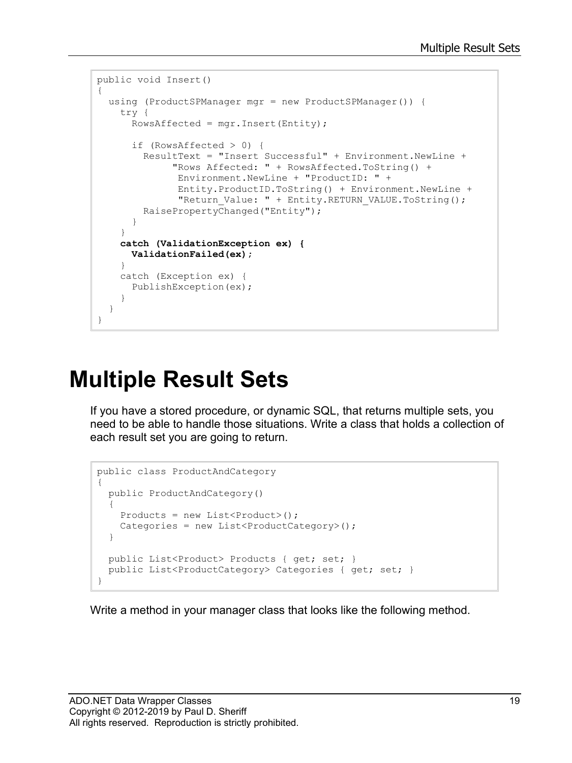```
public void Insert()
{
  using (ProductSPManager mgr = new ProductSPManager()) {
     try {
       RowsAffected = mgr.Insert(Entity);
       if (RowsAffected > 0) {
         ResultText = "Insert Successful" + Environment.NewLine +
              "Rows Affected: " + RowsAffected.ToString() +
               Environment.NewLine + "ProductID: " +
               Entity.ProductID.ToString() + Environment.NewLine +
              "Return Value: " + Entity.RETURN VALUE.ToString();
         RaisePropertyChanged("Entity");
       }
     }
     catch (ValidationException ex) {
       ValidationFailed(ex);
     }
     catch (Exception ex) {
       PublishException(ex);
     }
   }
}
```
## **Multiple Result Sets**

If you have a stored procedure, or dynamic SQL, that returns multiple sets, you need to be able to handle those situations. Write a class that holds a collection of each result set you are going to return.

```
public class ProductAndCategory
{
  public ProductAndCategory()
   {
    Products = new List<Product>();
    Categories = new List<ProductCategory>();
   }
   public List<Product> Products { get; set; }
  public List<ProductCategory> Categories { get; set; }
}
```
Write a method in your manager class that looks like the following method.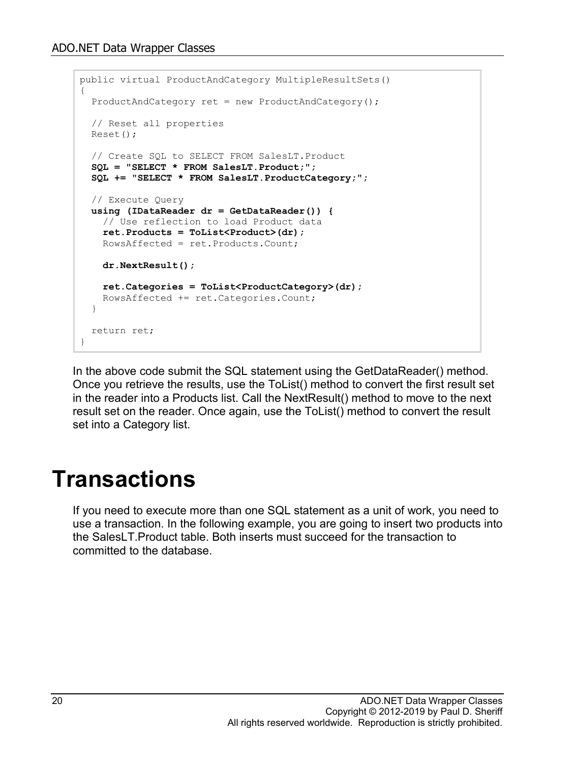```
public virtual ProductAndCategory MultipleResultSets()
{
   ProductAndCategory ret = new ProductAndCategory();
   // Reset all properties
   Reset();
   // Create SQL to SELECT FROM SalesLT.Product
   SQL = "SELECT * FROM SalesLT.Product;";
   SQL += "SELECT * FROM SalesLT.ProductCategory;";
   // Execute Query
  using (IDataReader dr = GetDataReader()) {
    // Use reflection to load Product data
     ret.Products = ToList<Product>(dr);
     RowsAffected = ret.Products.Count;
     dr.NextResult();
     ret.Categories = ToList<ProductCategory>(dr);
     RowsAffected += ret.Categories.Count;
   }
  return ret;
}
```
In the above code submit the SQL statement using the GetDataReader() method. Once you retrieve the results, use the ToList() method to convert the first result set in the reader into a Products list. Call the NextResult() method to move to the next result set on the reader. Once again, use the ToList() method to convert the result set into a Category list.

### **Transactions**

If you need to execute more than one SQL statement as a unit of work, you need to use a transaction. In the following example, you are going to insert two products into the SalesLT.Product table. Both inserts must succeed for the transaction to committed to the database.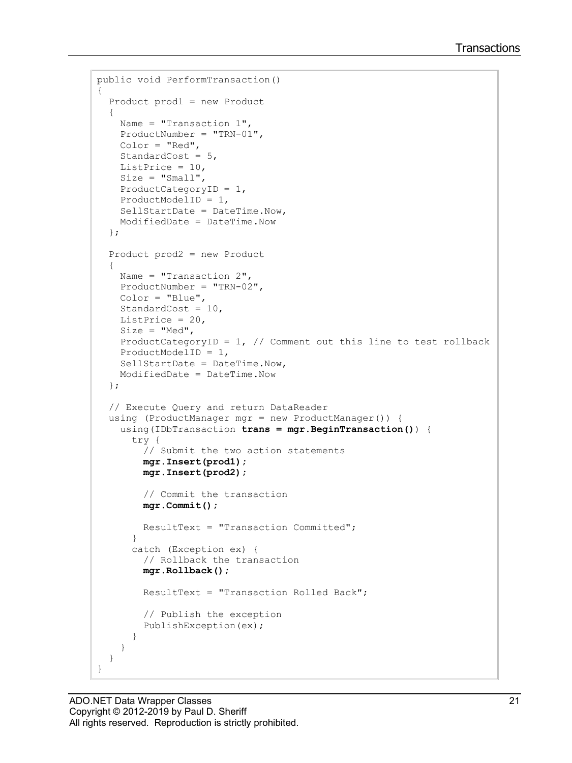```
public void PerformTransaction()
{
   Product prod1 = new Product
   {
    Name = "Transaction 1",
     ProductNumber = "TRN-01",
     Color = "Red",
     StandardCost = 5,
    ListPrice = 10,
    Size = "Small", ProductCategoryID = 1,
     ProductModelID = 1,
     SellStartDate = DateTime.Now,
     ModifiedDate = DateTime.Now
   };
   Product prod2 = new Product
   {
     Name = "Transaction 2",
     ProductNumber = "TRN-02",
     Color = "Blue",
    StandardCost = 10,
     ListPrice = 20,
    Size = "Med",ProductCategoryID = 1, // Comment out this line to test rollback
     ProductModelID = 1,
     SellStartDate = DateTime.Now,
     ModifiedDate = DateTime.Now
   };
   // Execute Query and return DataReader
   using (ProductManager mgr = new ProductManager()) {
     using(IDbTransaction trans = mgr.BeginTransaction()) { 
       try {
         // Submit the two action statements
         mgr.Insert(prod1);
         mgr.Insert(prod2);
         // Commit the transaction
         mgr.Commit();
         ResultText = "Transaction Committed";
 }
       catch (Exception ex) {
         // Rollback the transaction
         mgr.Rollback();
         ResultText = "Transaction Rolled Back";
         // Publish the exception
         PublishException(ex);
       }
     }
   }
}
```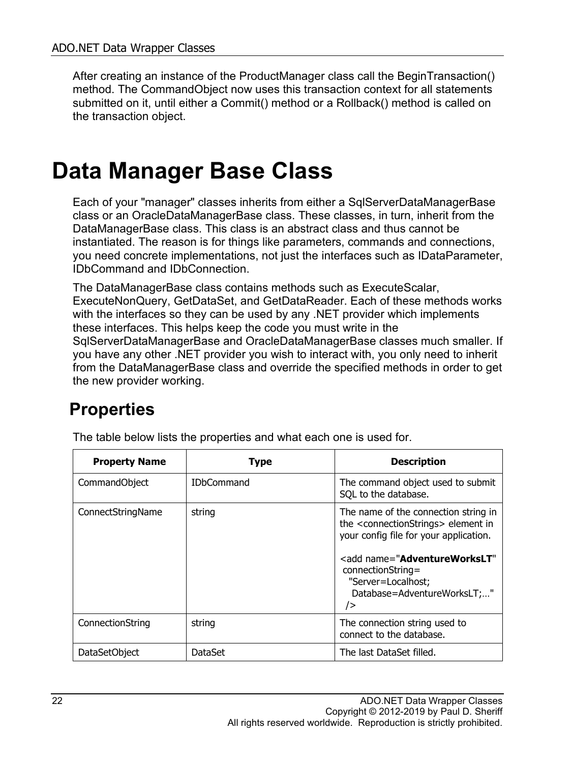After creating an instance of the ProductManager class call the BeginTransaction() method. The CommandObject now uses this transaction context for all statements submitted on it, until either a Commit() method or a Rollback() method is called on the transaction object.

### **Data Manager Base Class**

Each of your "manager" classes inherits from either a SqlServerDataManagerBase class or an OracleDataManagerBase class. These classes, in turn, inherit from the DataManagerBase class. This class is an abstract class and thus cannot be instantiated. The reason is for things like parameters, commands and connections, you need concrete implementations, not just the interfaces such as IDataParameter, IDbCommand and IDbConnection.

The DataManagerBase class contains methods such as ExecuteScalar, ExecuteNonQuery, GetDataSet, and GetDataReader. Each of these methods works with the interfaces so they can be used by any .NET provider which implements these interfaces. This helps keep the code you must write in the SqlServerDataManagerBase and OracleDataManagerBase classes much smaller. If you have any other .NET provider you wish to interact with, you only need to inherit from the DataManagerBase class and override the specified methods in order to get the new provider working.

#### **Properties**

| <b>Property Name</b> | <b>Type</b>       | <b>Description</b>                                                                                                                                                                                                                                                                                          |
|----------------------|-------------------|-------------------------------------------------------------------------------------------------------------------------------------------------------------------------------------------------------------------------------------------------------------------------------------------------------------|
| CommandObject        | <b>IDbCommand</b> | The command object used to submit<br>SQL to the database.                                                                                                                                                                                                                                                   |
| ConnectStringName    | string            | The name of the connection string in<br>the <connectionstrings> element in<br/>your config file for your application.<br/><add <br="" name="&lt;b&gt;AdventureWorksLT&lt;/b&gt;"><math>connectionString =</math><br/>"Server=Localhost;<br/>Database=AdventureWorksLT;"<br/>/&gt;</add></connectionstrings> |
| ConnectionString     | string            | The connection string used to<br>connect to the database.                                                                                                                                                                                                                                                   |
| <b>DataSetObject</b> | DataSet           | The last DataSet filled.                                                                                                                                                                                                                                                                                    |

The table below lists the properties and what each one is used for.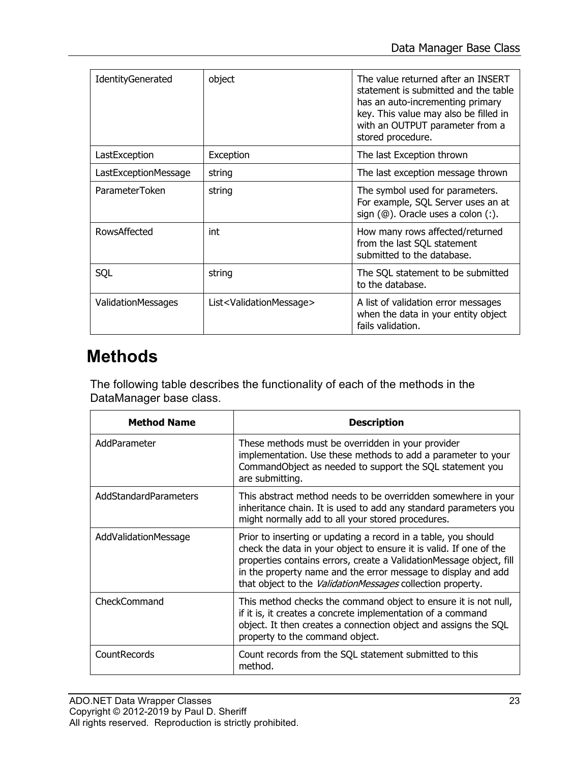| IdentityGenerated         | object                                       | The value returned after an INSERT<br>statement is submitted and the table<br>has an auto-incrementing primary<br>key. This value may also be filled in<br>with an OUTPUT parameter from a<br>stored procedure. |
|---------------------------|----------------------------------------------|-----------------------------------------------------------------------------------------------------------------------------------------------------------------------------------------------------------------|
| LastException             | Exception                                    | The last Exception thrown                                                                                                                                                                                       |
| LastExceptionMessage      | string                                       | The last exception message thrown                                                                                                                                                                               |
| ParameterToken            | string                                       | The symbol used for parameters.<br>For example, SQL Server uses an at<br>sign $(\circledcirc)$ . Oracle uses a colon $(:)$ .                                                                                    |
| RowsAffected              | int                                          | How many rows affected/returned<br>from the last SQL statement<br>submitted to the database.                                                                                                                    |
| SQL                       | string                                       | The SQL statement to be submitted<br>to the database.                                                                                                                                                           |
| <b>ValidationMessages</b> | List <validationmessage></validationmessage> | A list of validation error messages<br>when the data in your entity object<br>fails validation.                                                                                                                 |

#### **Methods**

The following table describes the functionality of each of the methods in the DataManager base class.

| <b>Method Name</b>    | <b>Description</b>                                                                                                                                                                                                                                                                                                                                |
|-----------------------|---------------------------------------------------------------------------------------------------------------------------------------------------------------------------------------------------------------------------------------------------------------------------------------------------------------------------------------------------|
| AddParameter          | These methods must be overridden in your provider<br>implementation. Use these methods to add a parameter to your<br>CommandObject as needed to support the SQL statement you<br>are submitting.                                                                                                                                                  |
| AddStandardParameters | This abstract method needs to be overridden somewhere in your<br>inheritance chain. It is used to add any standard parameters you<br>might normally add to all your stored procedures.                                                                                                                                                            |
| AddValidationMessage  | Prior to inserting or updating a record in a table, you should<br>check the data in your object to ensure it is valid. If one of the<br>properties contains errors, create a ValidationMessage object, fill<br>in the property name and the error message to display and add<br>that object to the <i>ValidationMessages</i> collection property. |
| CheckCommand          | This method checks the command object to ensure it is not null,<br>if it is, it creates a concrete implementation of a command<br>object. It then creates a connection object and assigns the SQL<br>property to the command object.                                                                                                              |
| CountRecords          | Count records from the SQL statement submitted to this<br>method.                                                                                                                                                                                                                                                                                 |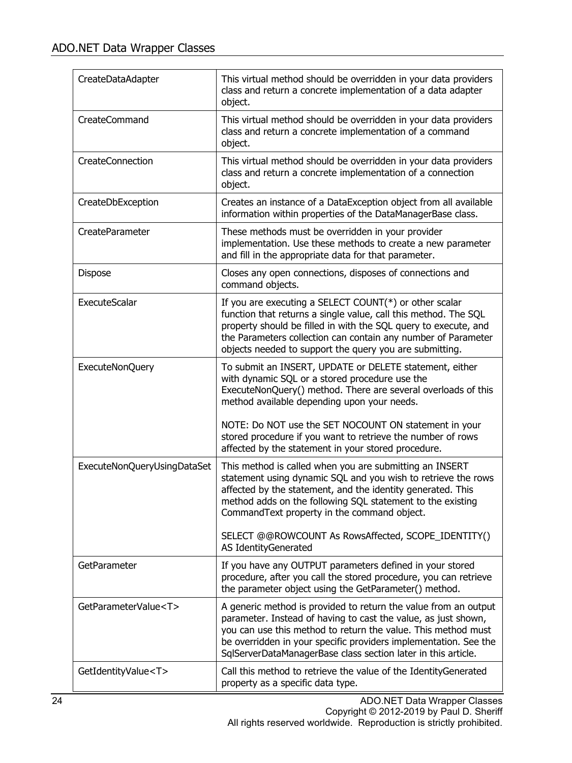| CreateDataAdapter           | This virtual method should be overridden in your data providers<br>class and return a concrete implementation of a data adapter<br>object.                                                                                                                                                                                                        |
|-----------------------------|---------------------------------------------------------------------------------------------------------------------------------------------------------------------------------------------------------------------------------------------------------------------------------------------------------------------------------------------------|
| CreateCommand               | This virtual method should be overridden in your data providers<br>class and return a concrete implementation of a command<br>object.                                                                                                                                                                                                             |
| CreateConnection            | This virtual method should be overridden in your data providers<br>class and return a concrete implementation of a connection<br>object.                                                                                                                                                                                                          |
| CreateDbException           | Creates an instance of a DataException object from all available<br>information within properties of the DataManagerBase class.                                                                                                                                                                                                                   |
| CreateParameter             | These methods must be overridden in your provider<br>implementation. Use these methods to create a new parameter<br>and fill in the appropriate data for that parameter.                                                                                                                                                                          |
| Dispose                     | Closes any open connections, disposes of connections and<br>command objects.                                                                                                                                                                                                                                                                      |
| ExecuteScalar               | If you are executing a SELECT COUNT( $*$ ) or other scalar<br>function that returns a single value, call this method. The SQL<br>property should be filled in with the SQL query to execute, and<br>the Parameters collection can contain any number of Parameter<br>objects needed to support the query you are submitting.                      |
| ExecuteNonQuery             | To submit an INSERT, UPDATE or DELETE statement, either<br>with dynamic SQL or a stored procedure use the<br>ExecuteNonQuery() method. There are several overloads of this<br>method available depending upon your needs.<br>NOTE: Do NOT use the SET NOCOUNT ON statement in your<br>stored procedure if you want to retrieve the number of rows |
|                             | affected by the statement in your stored procedure.                                                                                                                                                                                                                                                                                               |
| ExecuteNonQueryUsingDataSet | This method is called when you are submitting an INSERT<br>statement using dynamic SQL and you wish to retrieve the rows<br>affected by the statement, and the identity generated. This<br>method adds on the following SQL statement to the existing<br>CommandText property in the command object.                                              |
|                             | SELECT @@ROWCOUNT As RowsAffected, SCOPE_IDENTITY()<br>AS IdentityGenerated                                                                                                                                                                                                                                                                       |
| GetParameter                | If you have any OUTPUT parameters defined in your stored<br>procedure, after you call the stored procedure, you can retrieve<br>the parameter object using the GetParameter() method.                                                                                                                                                             |
| GetParameterValue <t></t>   | A generic method is provided to return the value from an output<br>parameter. Instead of having to cast the value, as just shown,<br>you can use this method to return the value. This method must<br>be overridden in your specific providers implementation. See the<br>SqlServerDataManagerBase class section later in this article.           |
| GetIdentityValue <t></t>    | Call this method to retrieve the value of the IdentityGenerated<br>property as a specific data type.                                                                                                                                                                                                                                              |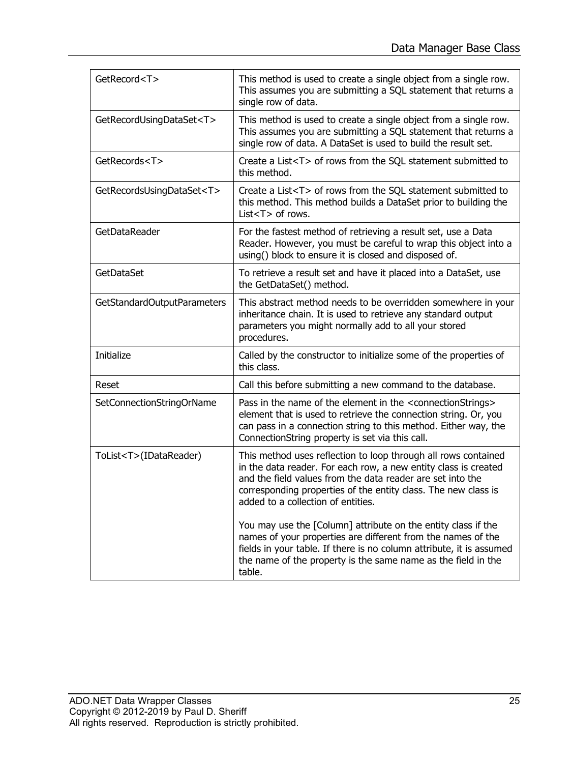| GetRecord <t></t>              | This method is used to create a single object from a single row.<br>This assumes you are submitting a SQL statement that returns a<br>single row of data.                                                                                                                                               |
|--------------------------------|---------------------------------------------------------------------------------------------------------------------------------------------------------------------------------------------------------------------------------------------------------------------------------------------------------|
| GetRecordUsingDataSet <t></t>  | This method is used to create a single object from a single row.<br>This assumes you are submitting a SQL statement that returns a<br>single row of data. A DataSet is used to build the result set.                                                                                                    |
| GetRecords <t></t>             | Create a List <t> of rows from the SQL statement submitted to<br/>this method.</t>                                                                                                                                                                                                                      |
| GetRecordsUsingDataSet <t></t> | Create a List <t> of rows from the SQL statement submitted to<br/>this method. This method builds a DataSet prior to building the<br/>List<t> of rows.</t></t>                                                                                                                                          |
| GetDataReader                  | For the fastest method of retrieving a result set, use a Data<br>Reader. However, you must be careful to wrap this object into a<br>using() block to ensure it is closed and disposed of.                                                                                                               |
| GetDataSet                     | To retrieve a result set and have it placed into a DataSet, use<br>the GetDataSet() method.                                                                                                                                                                                                             |
| GetStandardOutputParameters    | This abstract method needs to be overridden somewhere in your<br>inheritance chain. It is used to retrieve any standard output<br>parameters you might normally add to all your stored<br>procedures.                                                                                                   |
| Initialize                     | Called by the constructor to initialize some of the properties of<br>this class.                                                                                                                                                                                                                        |
| Reset                          | Call this before submitting a new command to the database.                                                                                                                                                                                                                                              |
| SetConnectionStringOrName      | Pass in the name of the element in the <connectionstrings><br/>element that is used to retrieve the connection string. Or, you<br/>can pass in a connection string to this method. Either way, the<br/>ConnectionString property is set via this call.</connectionstrings>                              |
| ToList <t>(IDataReader)</t>    | This method uses reflection to loop through all rows contained<br>in the data reader. For each row, a new entity class is created<br>and the field values from the data reader are set into the<br>corresponding properties of the entity class. The new class is<br>added to a collection of entities. |
|                                | You may use the [Column] attribute on the entity class if the<br>names of your properties are different from the names of the<br>fields in your table. If there is no column attribute, it is assumed<br>the name of the property is the same name as the field in the<br>table.                        |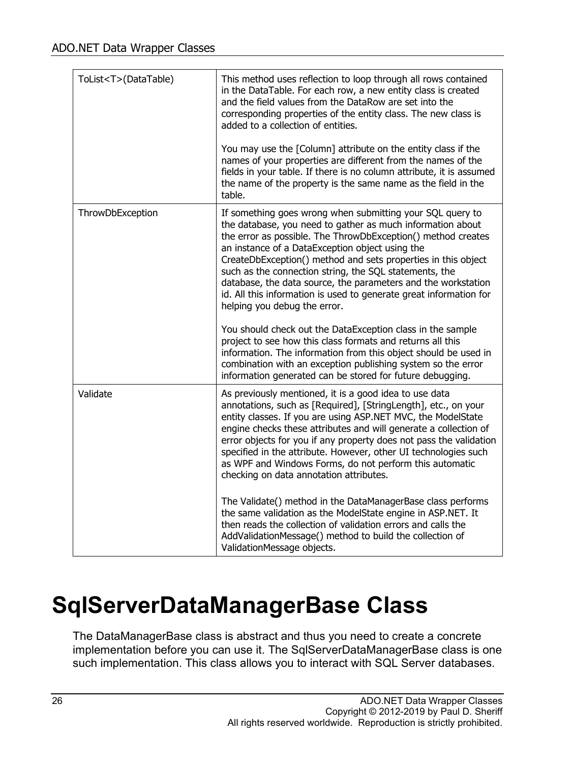| ToList <t>(DataTable)</t> | This method uses reflection to loop through all rows contained<br>in the DataTable. For each row, a new entity class is created<br>and the field values from the DataRow are set into the<br>corresponding properties of the entity class. The new class is<br>added to a collection of entities.<br>You may use the [Column] attribute on the entity class if the<br>names of your properties are different from the names of the<br>fields in your table. If there is no column attribute, it is assumed                                   |
|---------------------------|----------------------------------------------------------------------------------------------------------------------------------------------------------------------------------------------------------------------------------------------------------------------------------------------------------------------------------------------------------------------------------------------------------------------------------------------------------------------------------------------------------------------------------------------|
|                           | the name of the property is the same name as the field in the<br>table.                                                                                                                                                                                                                                                                                                                                                                                                                                                                      |
| ThrowDbException          | If something goes wrong when submitting your SQL query to<br>the database, you need to gather as much information about<br>the error as possible. The ThrowDbException() method creates<br>an instance of a DataException object using the<br>CreateDbException() method and sets properties in this object<br>such as the connection string, the SQL statements, the<br>database, the data source, the parameters and the workstation<br>id. All this information is used to generate great information for<br>helping you debug the error. |
|                           | You should check out the DataException class in the sample<br>project to see how this class formats and returns all this<br>information. The information from this object should be used in<br>combination with an exception publishing system so the error<br>information generated can be stored for future debugging.                                                                                                                                                                                                                     |
| Validate                  | As previously mentioned, it is a good idea to use data<br>annotations, such as [Required], [StringLength], etc., on your<br>entity classes. If you are using ASP.NET MVC, the ModelState<br>engine checks these attributes and will generate a collection of<br>error objects for you if any property does not pass the validation<br>specified in the attribute. However, other UI technologies such<br>as WPF and Windows Forms, do not perform this automatic<br>checking on data annotation attributes.                                  |
|                           | The Validate() method in the DataManagerBase class performs<br>the same validation as the ModelState engine in ASP.NET. It<br>then reads the collection of validation errors and calls the<br>AddValidationMessage() method to build the collection of<br>ValidationMessage objects.                                                                                                                                                                                                                                                         |

# **SqlServerDataManagerBase Class**

The DataManagerBase class is abstract and thus you need to create a concrete implementation before you can use it. The SqlServerDataManagerBase class is one such implementation. This class allows you to interact with SQL Server databases.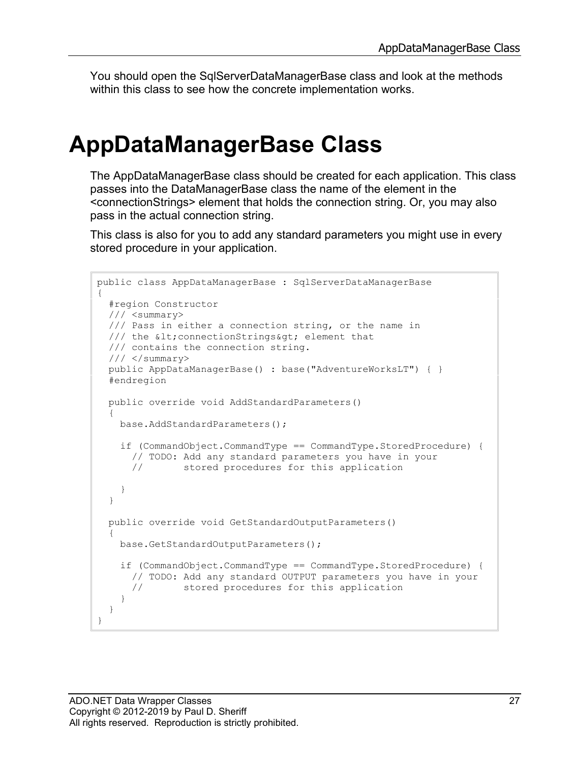You should open the SqlServerDataManagerBase class and look at the methods within this class to see how the concrete implementation works.

### **AppDataManagerBase Class**

The AppDataManagerBase class should be created for each application. This class passes into the DataManagerBase class the name of the element in the <connectionStrings> element that holds the connection string. Or, you may also pass in the actual connection string.

This class is also for you to add any standard parameters you might use in every stored procedure in your application.

```
public class AppDataManagerBase : SqlServerDataManagerBase
{
   #region Constructor
   /// <summary>
   /// Pass in either a connection string, or the name in 
  /// the < connectionStrings&gt; element that
   /// contains the connection string.
  // / </summary>
   public AppDataManagerBase() : base("AdventureWorksLT") { }
   #endregion
   public override void AddStandardParameters()
   {
     base.AddStandardParameters();
     if (CommandObject.CommandType == CommandType.StoredProcedure) {
      // TODO: Add any standard parameters you have in your<br>// stored procedures for this application
                stored procedures for this application
     }
   }
   public override void GetStandardOutputParameters()
   {
     base.GetStandardOutputParameters();
     if (CommandObject.CommandType == CommandType.StoredProcedure) {
      // TODO: Add any standard OUTPUT parameters you have in your<br>// stored procedures for this application
                 stored procedures for this application
     }
   }
}
```